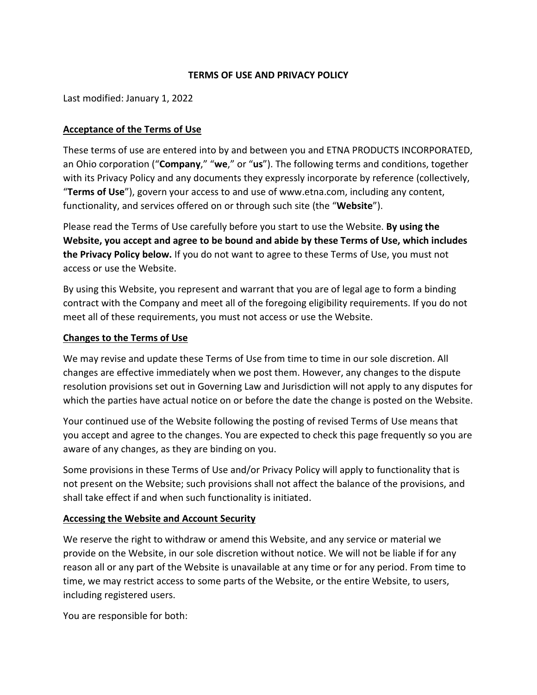#### **TERMS OF USE AND PRIVACY POLICY**

Last modified: January 1, 2022

#### **Acceptance of the Terms of Use**

These terms of use are entered into by and between you and ETNA PRODUCTS INCORPORATED, an Ohio corporation ("**Company**," "**we**," or "**us**"). The following terms and conditions, together with its Privacy Policy and any documents they expressly incorporate by reference (collectively, "**Terms of Use**"), govern your access to and use of [www.etna.com,](http://www.etna.com/) including any content, functionality, and services offered on or through such site (the "**Website**").

Please read the Terms of Use carefully before you start to use the Website. **By using the Website, you accept and agree to be bound and abide by these Terms of Use, which includes the Privacy Policy below.** If you do not want to agree to these Terms of Use, you must not access or use the Website.

By using this Website, you represent and warrant that you are of legal age to form a binding contract with the Company and meet all of the foregoing eligibility requirements. If you do not meet all of these requirements, you must not access or use the Website.

#### **Changes to the Terms of Use**

We may revise and update these Terms of Use from time to time in our sole discretion. All changes are effective immediately when we post them. However, any changes to the dispute resolution provisions set out in [Governing Law and Jurisdiction](#page-9-0) will not apply to any disputes for which the parties have actual notice on or before the date the change is posted on the Website.

Your continued use of the Website following the posting of revised Terms of Use means that you accept and agree to the changes. You are expected to check this page frequently so you are aware of any changes, as they are binding on you.

Some provisions in these Terms of Use and/or Privacy Policy will apply to functionality that is not present on the Website; such provisions shall not affect the balance of the provisions, and shall take effect if and when such functionality is initiated.

# **Accessing the Website and Account Security**

We reserve the right to withdraw or amend this Website, and any service or material we provide on the Website, in our sole discretion without notice. We will not be liable if for any reason all or any part of the Website is unavailable at any time or for any period. From time to time, we may restrict access to some parts of the Website, or the entire Website, to users, including registered users.

You are responsible for both: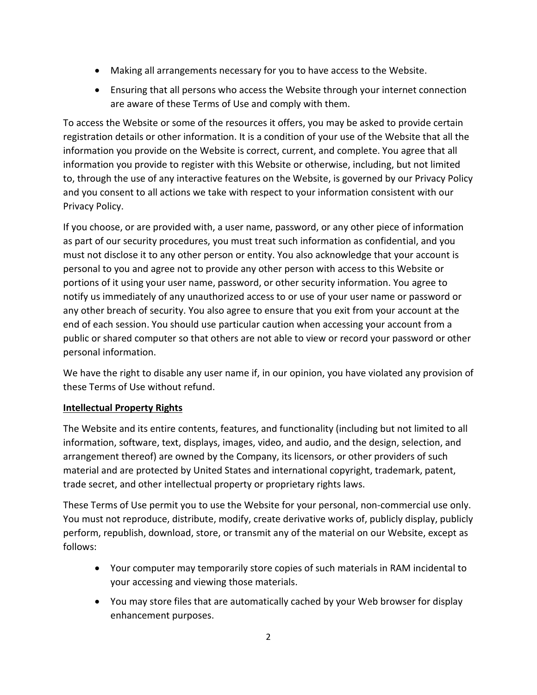- Making all arrangements necessary for you to have access to the Website.
- Ensuring that all persons who access the Website through your internet connection are aware of these Terms of Use and comply with them.

To access the Website or some of the resources it offers, you may be asked to provide certain registration details or other information. It is a condition of your use of the Website that all the information you provide on the Website is correct, current, and complete. You agree that all information you provide to register with this Website or otherwise, including, but not limited to, through the use of any interactive features on the Website, is governed by our Privacy Policy and you consent to all actions we take with respect to your information consistent with our Privacy Policy.

If you choose, or are provided with, a user name, password, or any other piece of information as part of our security procedures, you must treat such information as confidential, and you must not disclose it to any other person or entity. You also acknowledge that your account is personal to you and agree not to provide any other person with access to this Website or portions of it using your user name, password, or other security information. You agree to notify us immediately of any unauthorized access to or use of your user name or password or any other breach of security. You also agree to ensure that you exit from your account at the end of each session. You should use particular caution when accessing your account from a public or shared computer so that others are not able to view or record your password or other personal information.

We have the right to disable any user name if, in our opinion, you have violated any provision of these Terms of Use without refund.

# **Intellectual Property Rights**

The Website and its entire contents, features, and functionality (including but not limited to all information, software, text, displays, images, video, and audio, and the design, selection, and arrangement thereof) are owned by the Company, its licensors, or other providers of such material and are protected by United States and international copyright, trademark, patent, trade secret, and other intellectual property or proprietary rights laws.

These Terms of Use permit you to use the Website for your personal, non-commercial use only. You must not reproduce, distribute, modify, create derivative works of, publicly display, publicly perform, republish, download, store, or transmit any of the material on our Website, except as follows:

- Your computer may temporarily store copies of such materials in RAM incidental to your accessing and viewing those materials.
- You may store files that are automatically cached by your Web browser for display enhancement purposes.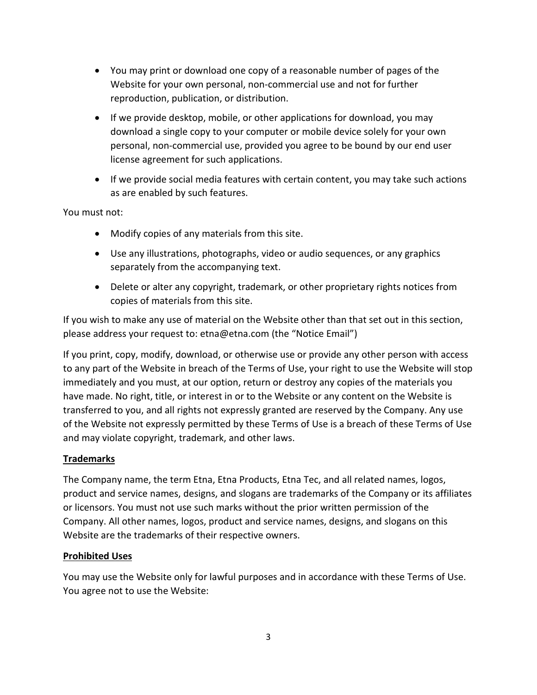- You may print or download one copy of a reasonable number of pages of the Website for your own personal, non-commercial use and not for further reproduction, publication, or distribution.
- If we provide desktop, mobile, or other applications for download, you may download a single copy to your computer or mobile device solely for your own personal, non-commercial use, provided you agree to be bound by our end user license agreement for such applications.
- If we provide social media features with certain content, you may take such actions as are enabled by such features.

You must not:

- Modify copies of any materials from this site.
- Use any illustrations, photographs, video or audio sequences, or any graphics separately from the accompanying text.
- Delete or alter any copyright, trademark, or other proprietary rights notices from copies of materials from this site.

If you wish to make any use of material on the Website other than that set out in this section, please address your request to: etna@etna.com (the "Notice Email")

If you print, copy, modify, download, or otherwise use or provide any other person with access to any part of the Website in breach of the Terms of Use, your right to use the Website will stop immediately and you must, at our option, return or destroy any copies of the materials you have made. No right, title, or interest in or to the Website or any content on the Website is transferred to you, and all rights not expressly granted are reserved by the Company. Any use of the Website not expressly permitted by these Terms of Use is a breach of these Terms of Use and may violate copyright, trademark, and other laws.

# **Trademarks**

The Company name, the term Etna, Etna Products, Etna Tec, and all related names, logos, product and service names, designs, and slogans are trademarks of the Company or its affiliates or licensors. You must not use such marks without the prior written permission of the Company. All other names, logos, product and service names, designs, and slogans on this Website are the trademarks of their respective owners.

#### **Prohibited Uses**

You may use the Website only for lawful purposes and in accordance with these Terms of Use. You agree not to use the Website: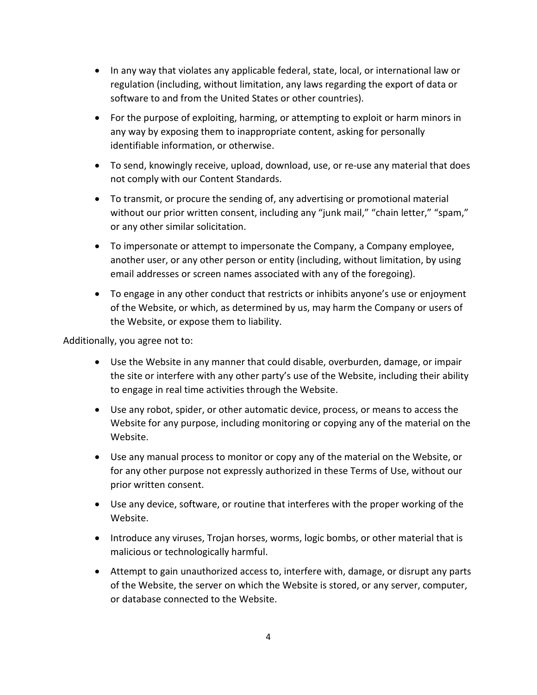- In any way that violates any applicable federal, state, local, or international law or regulation (including, without limitation, any laws regarding the export of data or software to and from the United States or other countries).
- For the purpose of exploiting, harming, or attempting to exploit or harm minors in any way by exposing them to inappropriate content, asking for personally identifiable information, or otherwise.
- To send, knowingly receive, upload, download, use, or re-use any material that does not comply with our Content Standards.
- To transmit, or procure the sending of, any advertising or promotional material without our prior written consent, including any "junk mail," "chain letter," "spam," or any other similar solicitation.
- To impersonate or attempt to impersonate the Company, a Company employee, another user, or any other person or entity (including, without limitation, by using email addresses or screen names associated with any of the foregoing).
- To engage in any other conduct that restricts or inhibits anyone's use or enjoyment of the Website, or which, as determined by us, may harm the Company or users of the Website, or expose them to liability.

Additionally, you agree not to:

- Use the Website in any manner that could disable, overburden, damage, or impair the site or interfere with any other party's use of the Website, including their ability to engage in real time activities through the Website.
- Use any robot, spider, or other automatic device, process, or means to access the Website for any purpose, including monitoring or copying any of the material on the Website.
- Use any manual process to monitor or copy any of the material on the Website, or for any other purpose not expressly authorized in these Terms of Use, without our prior written consent.
- Use any device, software, or routine that interferes with the proper working of the Website.
- Introduce any viruses, Trojan horses, worms, logic bombs, or other material that is malicious or technologically harmful.
- Attempt to gain unauthorized access to, interfere with, damage, or disrupt any parts of the Website, the server on which the Website is stored, or any server, computer, or database connected to the Website.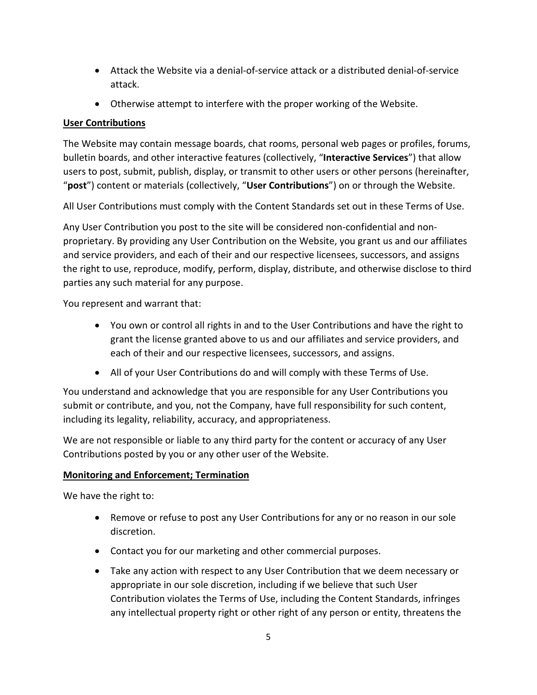- Attack the Website via a denial-of-service attack or a distributed denial-of-service attack.
- Otherwise attempt to interfere with the proper working of the Website.

# **User Contributions**

The Website may contain message boards, chat rooms, personal web pages or profiles, forums, bulletin boards, and other interactive features (collectively, "**Interactive Services**") that allow users to post, submit, publish, display, or transmit to other users or other persons (hereinafter, "**post**") content or materials (collectively, "**User Contributions**") on or through the Website.

All User Contributions must comply with the Content Standards set out in these Terms of Use.

Any User Contribution you post to the site will be considered non-confidential and nonproprietary. By providing any User Contribution on the Website, you grant us and our affiliates and service providers, and each of their and our respective licensees, successors, and assigns the right to use, reproduce, modify, perform, display, distribute, and otherwise disclose to third parties any such material for any purpose.

You represent and warrant that:

- You own or control all rights in and to the User Contributions and have the right to grant the license granted above to us and our affiliates and service providers, and each of their and our respective licensees, successors, and assigns.
- All of your User Contributions do and will comply with these Terms of Use.

You understand and acknowledge that you are responsible for any User Contributions you submit or contribute, and you, not the Company, have full responsibility for such content, including its legality, reliability, accuracy, and appropriateness.

We are not responsible or liable to any third party for the content or accuracy of any User Contributions posted by you or any other user of the Website.

# **Monitoring and Enforcement; Termination**

We have the right to:

- Remove or refuse to post any User Contributions for any or no reason in our sole discretion.
- Contact you for our marketing and other commercial purposes.
- Take any action with respect to any User Contribution that we deem necessary or appropriate in our sole discretion, including if we believe that such User Contribution violates the Terms of Use, including the Content Standards, infringes any intellectual property right or other right of any person or entity, threatens the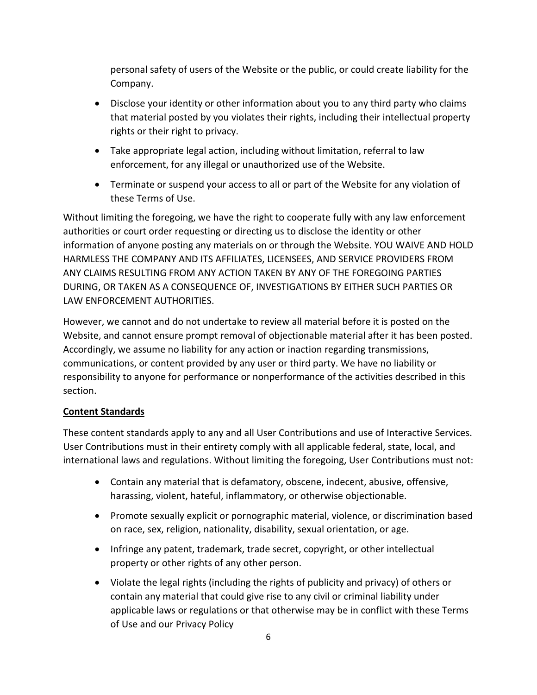personal safety of users of the Website or the public, or could create liability for the Company.

- Disclose your identity or other information about you to any third party who claims that material posted by you violates their rights, including their intellectual property rights or their right to privacy.
- Take appropriate legal action, including without limitation, referral to law enforcement, for any illegal or unauthorized use of the Website.
- Terminate or suspend your access to all or part of the Website for any violation of these Terms of Use.

Without limiting the foregoing, we have the right to cooperate fully with any law enforcement authorities or court order requesting or directing us to disclose the identity or other information of anyone posting any materials on or through the Website. YOU WAIVE AND HOLD HARMLESS THE COMPANY AND ITS AFFILIATES, LICENSEES, AND SERVICE PROVIDERS FROM ANY CLAIMS RESULTING FROM ANY ACTION TAKEN BY ANY OF THE FOREGOING PARTIES DURING, OR TAKEN AS A CONSEQUENCE OF, INVESTIGATIONS BY EITHER SUCH PARTIES OR LAW ENFORCEMENT AUTHORITIES.

However, we cannot and do not undertake to review all material before it is posted on the Website, and cannot ensure prompt removal of objectionable material after it has been posted. Accordingly, we assume no liability for any action or inaction regarding transmissions, communications, or content provided by any user or third party. We have no liability or responsibility to anyone for performance or nonperformance of the activities described in this section.

# **Content Standards**

These content standards apply to any and all User Contributions and use of Interactive Services. User Contributions must in their entirety comply with all applicable federal, state, local, and international laws and regulations. Without limiting the foregoing, User Contributions must not:

- Contain any material that is defamatory, obscene, indecent, abusive, offensive, harassing, violent, hateful, inflammatory, or otherwise objectionable.
- Promote sexually explicit or pornographic material, violence, or discrimination based on race, sex, religion, nationality, disability, sexual orientation, or age.
- Infringe any patent, trademark, trade secret, copyright, or other intellectual property or other rights of any other person.
- Violate the legal rights (including the rights of publicity and privacy) of others or contain any material that could give rise to any civil or criminal liability under applicable laws or regulations or that otherwise may be in conflict with these Terms of Use and our Privacy Policy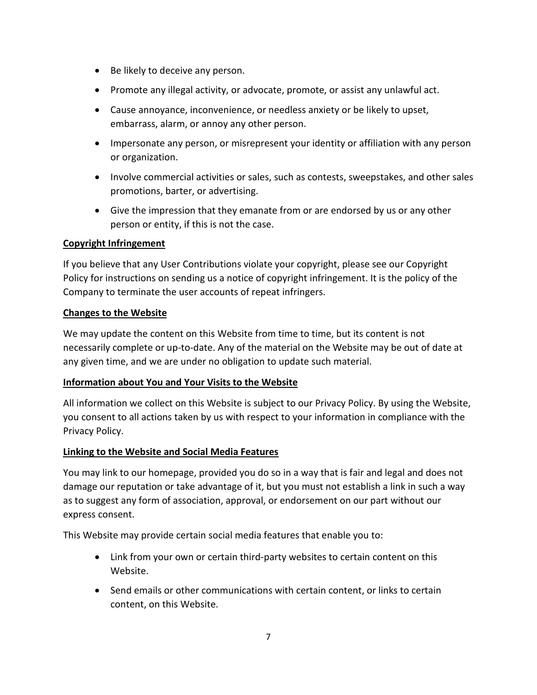- Be likely to deceive any person.
- Promote any illegal activity, or advocate, promote, or assist any unlawful act.
- Cause annoyance, inconvenience, or needless anxiety or be likely to upset, embarrass, alarm, or annoy any other person.
- Impersonate any person, or misrepresent your identity or affiliation with any person or organization.
- Involve commercial activities or sales, such as contests, sweepstakes, and other sales promotions, barter, or advertising.
- Give the impression that they emanate from or are endorsed by us or any other person or entity, if this is not the case.

#### **Copyright Infringement**

If you believe that any User Contributions violate your copyright, please see our Copyright Policy for instructions on sending us a notice of copyright infringement. It is the policy of the Company to terminate the user accounts of repeat infringers.

#### **Changes to the Website**

We may update the content on this Website from time to time, but its content is not necessarily complete or up-to-date. Any of the material on the Website may be out of date at any given time, and we are under no obligation to update such material.

#### **Information about You and Your Visits to the Website**

All information we collect on this Website is subject to our Privacy Policy. By using the Website, you consent to all actions taken by us with respect to your information in compliance with the Privacy Policy.

#### **Linking to the Website and Social Media Features**

You may link to our homepage, provided you do so in a way that is fair and legal and does not damage our reputation or take advantage of it, but you must not establish a link in such a way as to suggest any form of association, approval, or endorsement on our part without our express consent.

This Website may provide certain social media features that enable you to:

- Link from your own or certain third-party websites to certain content on this Website.
- Send emails or other communications with certain content, or links to certain content, on this Website.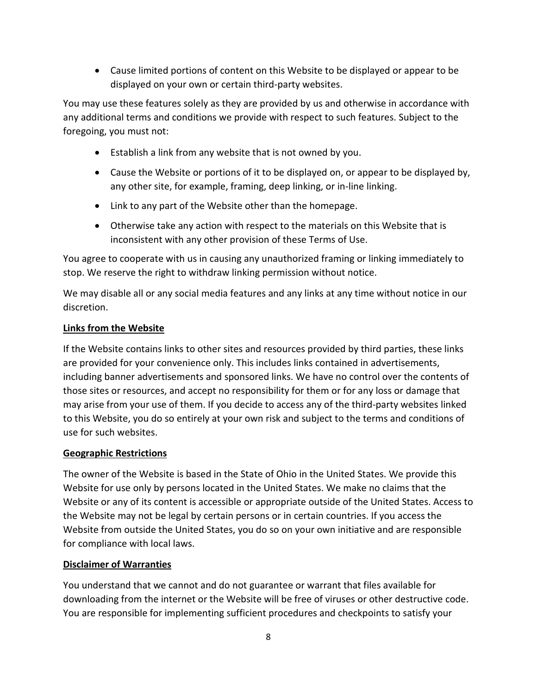• Cause limited portions of content on this Website to be displayed or appear to be displayed on your own or certain third-party websites.

You may use these features solely as they are provided by us and otherwise in accordance with any additional terms and conditions we provide with respect to such features. Subject to the foregoing, you must not:

- Establish a link from any website that is not owned by you.
- Cause the Website or portions of it to be displayed on, or appear to be displayed by, any other site, for example, framing, deep linking, or in-line linking.
- Link to any part of the Website other than the homepage.
- Otherwise take any action with respect to the materials on this Website that is inconsistent with any other provision of these Terms of Use.

You agree to cooperate with us in causing any unauthorized framing or linking immediately to stop. We reserve the right to withdraw linking permission without notice.

We may disable all or any social media features and any links at any time without notice in our discretion.

#### **Links from the Website**

If the Website contains links to other sites and resources provided by third parties, these links are provided for your convenience only. This includes links contained in advertisements, including banner advertisements and sponsored links. We have no control over the contents of those sites or resources, and accept no responsibility for them or for any loss or damage that may arise from your use of them. If you decide to access any of the third-party websites linked to this Website, you do so entirely at your own risk and subject to the terms and conditions of use for such websites.

# **Geographic Restrictions**

The owner of the Website is based in the State of Ohio in the United States. We provide this Website for use only by persons located in the United States. We make no claims that the Website or any of its content is accessible or appropriate outside of the United States. Access to the Website may not be legal by certain persons or in certain countries. If you access the Website from outside the United States, you do so on your own initiative and are responsible for compliance with local laws.

#### **Disclaimer of Warranties**

You understand that we cannot and do not guarantee or warrant that files available for downloading from the internet or the Website will be free of viruses or other destructive code. You are responsible for implementing sufficient procedures and checkpoints to satisfy your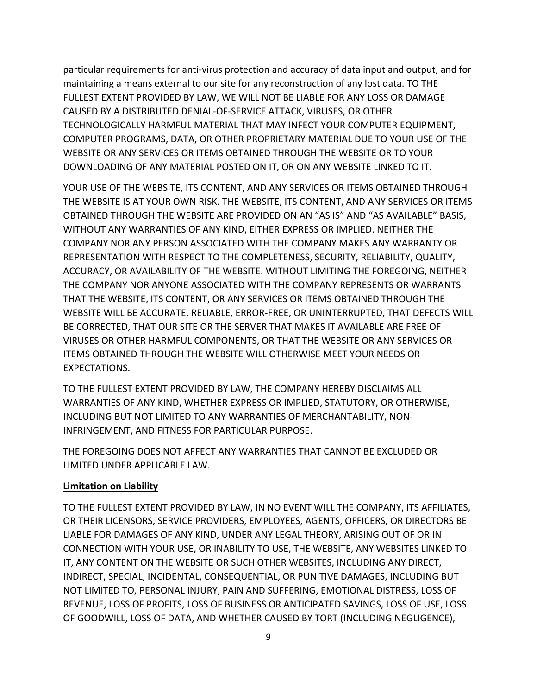particular requirements for anti-virus protection and accuracy of data input and output, and for maintaining a means external to our site for any reconstruction of any lost data. TO THE FULLEST EXTENT PROVIDED BY LAW, WE WILL NOT BE LIABLE FOR ANY LOSS OR DAMAGE CAUSED BY A DISTRIBUTED DENIAL-OF-SERVICE ATTACK, VIRUSES, OR OTHER TECHNOLOGICALLY HARMFUL MATERIAL THAT MAY INFECT YOUR COMPUTER EQUIPMENT, COMPUTER PROGRAMS, DATA, OR OTHER PROPRIETARY MATERIAL DUE TO YOUR USE OF THE WEBSITE OR ANY SERVICES OR ITEMS OBTAINED THROUGH THE WEBSITE OR TO YOUR DOWNLOADING OF ANY MATERIAL POSTED ON IT, OR ON ANY WEBSITE LINKED TO IT.

YOUR USE OF THE WEBSITE, ITS CONTENT, AND ANY SERVICES OR ITEMS OBTAINED THROUGH THE WEBSITE IS AT YOUR OWN RISK. THE WEBSITE, ITS CONTENT, AND ANY SERVICES OR ITEMS OBTAINED THROUGH THE WEBSITE ARE PROVIDED ON AN "AS IS" AND "AS AVAILABLE" BASIS, WITHOUT ANY WARRANTIES OF ANY KIND, EITHER EXPRESS OR IMPLIED. NEITHER THE COMPANY NOR ANY PERSON ASSOCIATED WITH THE COMPANY MAKES ANY WARRANTY OR REPRESENTATION WITH RESPECT TO THE COMPLETENESS, SECURITY, RELIABILITY, QUALITY, ACCURACY, OR AVAILABILITY OF THE WEBSITE. WITHOUT LIMITING THE FOREGOING, NEITHER THE COMPANY NOR ANYONE ASSOCIATED WITH THE COMPANY REPRESENTS OR WARRANTS THAT THE WEBSITE, ITS CONTENT, OR ANY SERVICES OR ITEMS OBTAINED THROUGH THE WEBSITE WILL BE ACCURATE, RELIABLE, ERROR-FREE, OR UNINTERRUPTED, THAT DEFECTS WILL BE CORRECTED, THAT OUR SITE OR THE SERVER THAT MAKES IT AVAILABLE ARE FREE OF VIRUSES OR OTHER HARMFUL COMPONENTS, OR THAT THE WEBSITE OR ANY SERVICES OR ITEMS OBTAINED THROUGH THE WEBSITE WILL OTHERWISE MEET YOUR NEEDS OR EXPECTATIONS.

TO THE FULLEST EXTENT PROVIDED BY LAW, THE COMPANY HEREBY DISCLAIMS ALL WARRANTIES OF ANY KIND, WHETHER EXPRESS OR IMPLIED, STATUTORY, OR OTHERWISE, INCLUDING BUT NOT LIMITED TO ANY WARRANTIES OF MERCHANTABILITY, NON-INFRINGEMENT, AND FITNESS FOR PARTICULAR PURPOSE.

THE FOREGOING DOES NOT AFFECT ANY WARRANTIES THAT CANNOT BE EXCLUDED OR LIMITED UNDER APPLICABLE LAW.

#### **Limitation on Liability**

TO THE FULLEST EXTENT PROVIDED BY LAW, IN NO EVENT WILL THE COMPANY, ITS AFFILIATES, OR THEIR LICENSORS, SERVICE PROVIDERS, EMPLOYEES, AGENTS, OFFICERS, OR DIRECTORS BE LIABLE FOR DAMAGES OF ANY KIND, UNDER ANY LEGAL THEORY, ARISING OUT OF OR IN CONNECTION WITH YOUR USE, OR INABILITY TO USE, THE WEBSITE, ANY WEBSITES LINKED TO IT, ANY CONTENT ON THE WEBSITE OR SUCH OTHER WEBSITES, INCLUDING ANY DIRECT, INDIRECT, SPECIAL, INCIDENTAL, CONSEQUENTIAL, OR PUNITIVE DAMAGES, INCLUDING BUT NOT LIMITED TO, PERSONAL INJURY, PAIN AND SUFFERING, EMOTIONAL DISTRESS, LOSS OF REVENUE, LOSS OF PROFITS, LOSS OF BUSINESS OR ANTICIPATED SAVINGS, LOSS OF USE, LOSS OF GOODWILL, LOSS OF DATA, AND WHETHER CAUSED BY TORT (INCLUDING NEGLIGENCE),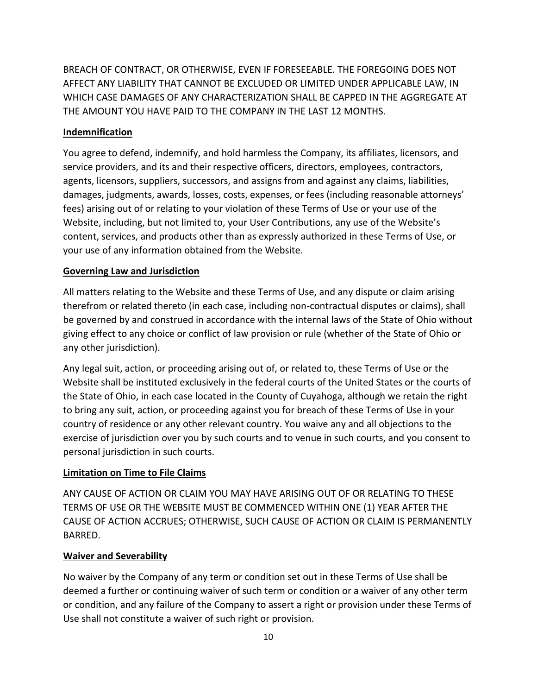BREACH OF CONTRACT, OR OTHERWISE, EVEN IF FORESEEABLE. THE FOREGOING DOES NOT AFFECT ANY LIABILITY THAT CANNOT BE EXCLUDED OR LIMITED UNDER APPLICABLE LAW, IN WHICH CASE DAMAGES OF ANY CHARACTERIZATION SHALL BE CAPPED IN THE AGGREGATE AT THE AMOUNT YOU HAVE PAID TO THE COMPANY IN THE LAST 12 MONTHS.

# **Indemnification**

You agree to defend, indemnify, and hold harmless the Company, its affiliates, licensors, and service providers, and its and their respective officers, directors, employees, contractors, agents, licensors, suppliers, successors, and assigns from and against any claims, liabilities, damages, judgments, awards, losses, costs, expenses, or fees (including reasonable attorneys' fees) arising out of or relating to your violation of these Terms of Use or your use of the Website, including, but not limited to, your User Contributions, any use of the Website's content, services, and products other than as expressly authorized in these Terms of Use, or your use of any information obtained from the Website.

# <span id="page-9-0"></span>**Governing Law and Jurisdiction**

All matters relating to the Website and these Terms of Use, and any dispute or claim arising therefrom or related thereto (in each case, including non-contractual disputes or claims), shall be governed by and construed in accordance with the internal laws of the State of Ohio without giving effect to any choice or conflict of law provision or rule (whether of the State of Ohio or any other jurisdiction).

Any legal suit, action, or proceeding arising out of, or related to, these Terms of Use or the Website shall be instituted exclusively in the federal courts of the United States or the courts of the State of Ohio, in each case located in the County of Cuyahoga, although we retain the right to bring any suit, action, or proceeding against you for breach of these Terms of Use in your country of residence or any other relevant country. You waive any and all objections to the exercise of jurisdiction over you by such courts and to venue in such courts, and you consent to personal jurisdiction in such courts.

# **Limitation on Time to File Claims**

ANY CAUSE OF ACTION OR CLAIM YOU MAY HAVE ARISING OUT OF OR RELATING TO THESE TERMS OF USE OR THE WEBSITE MUST BE COMMENCED WITHIN ONE (1) YEAR AFTER THE CAUSE OF ACTION ACCRUES; OTHERWISE, SUCH CAUSE OF ACTION OR CLAIM IS PERMANENTLY BARRED.

# **Waiver and Severability**

No waiver by the Company of any term or condition set out in these Terms of Use shall be deemed a further or continuing waiver of such term or condition or a waiver of any other term or condition, and any failure of the Company to assert a right or provision under these Terms of Use shall not constitute a waiver of such right or provision.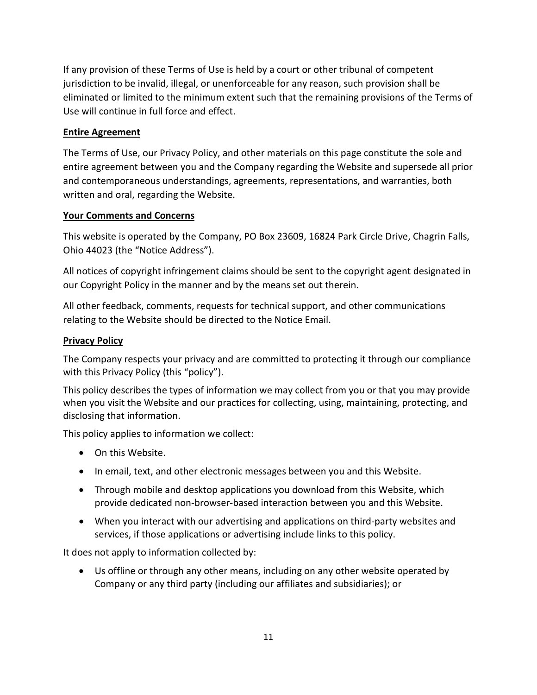If any provision of these Terms of Use is held by a court or other tribunal of competent jurisdiction to be invalid, illegal, or unenforceable for any reason, such provision shall be eliminated or limited to the minimum extent such that the remaining provisions of the Terms of Use will continue in full force and effect.

# **Entire Agreement**

The Terms of Use, our Privacy Policy, and other materials on this page constitute the sole and entire agreement between you and the Company regarding the Website and supersede all prior and contemporaneous understandings, agreements, representations, and warranties, both written and oral, regarding the Website.

# **Your Comments and Concerns**

This website is operated by the Company, PO Box 23609, 16824 Park Circle Drive, Chagrin Falls, Ohio 44023 (the "Notice Address").

All notices of copyright infringement claims should be sent to the copyright agent designated in our Copyright Policy in the manner and by the means set out therein.

All other feedback, comments, requests for technical support, and other communications relating to the Website should be directed to the Notice Email.

#### **Privacy Policy**

The Company respects your privacy and are committed to protecting it through our compliance with this Privacy Policy (this "policy").

This policy describes the types of information we may collect from you or that you may provide when you visit the Website and our practices for collecting, using, maintaining, protecting, and disclosing that information.

This policy applies to information we collect:

- On this Website.
- In email, text, and other electronic messages between you and this Website.
- Through mobile and desktop applications you download from this Website, which provide dedicated non-browser-based interaction between you and this Website.
- When you interact with our advertising and applications on third-party websites and services, if those applications or advertising include links to this policy.

It does not apply to information collected by:

• Us offline or through any other means, including on any other website operated by Company or any third party (including our affiliates and subsidiaries); or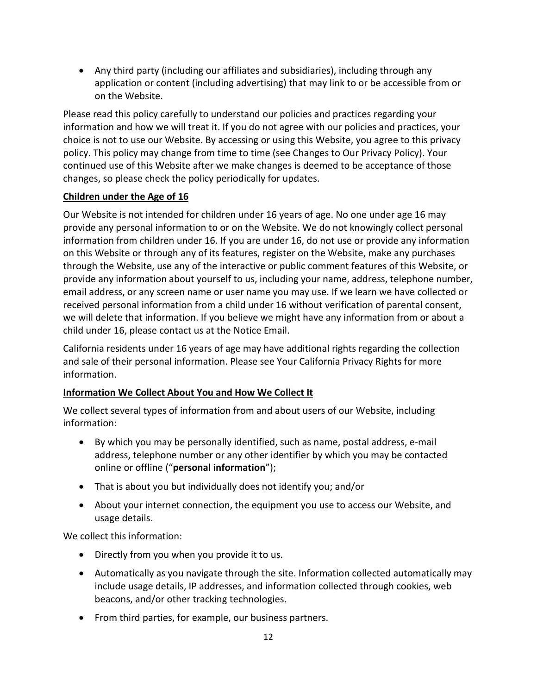• Any third party (including our affiliates and subsidiaries), including through any application or content (including advertising) that may link to or be accessible from or on the Website.

Please read this policy carefully to understand our policies and practices regarding your information and how we will treat it. If you do not agree with our policies and practices, your choice is not to use our Website. By accessing or using this Website, you agree to this privacy policy. This policy may change from time to time (see [Changes to Our Privacy Policy\)](#page-15-0). Your continued use of this Website after we make changes is deemed to be acceptance of those changes, so please check the policy periodically for updates.

# **Children under the Age of 16**

Our Website is not intended for children under 16 years of age. No one under age 16 may provide any personal information to or on the Website. We do not knowingly collect personal information from children under 16. If you are under 16, do not use or provide any information on this Website or through any of its features, register on the Website, make any purchases through the Website, use any of the interactive or public comment features of this Website, or provide any information about yourself to us, including your name, address, telephone number, email address, or any screen name or user name you may use. If we learn we have collected or received personal information from a child under 16 without verification of parental consent, we will delete that information. If you believe we might have any information from or about a child under 16, please contact us at the Notice Email.

California residents under 16 years of age may have additional rights regarding the collection and sale of their personal information. Please se[e Your California Privacy Rights](#page-15-1) for more information.

# **Information We Collect About You and How We Collect It**

We collect several types of information from and about users of our Website, including information:

- By which you may be personally identified, such as name, postal address, e-mail address, telephone number or any other identifier by which you may be contacted online or offline ("**personal information**");
- That is about you but individually does not identify you; and/or
- About your internet connection, the equipment you use to access our Website, and usage details.

We collect this information:

- Directly from you when you provide it to us.
- Automatically as you navigate through the site. Information collected automatically may include usage details, IP addresses, and information collected through cookies, web beacons, and/or other tracking technologies.
- From third parties, for example, our business partners.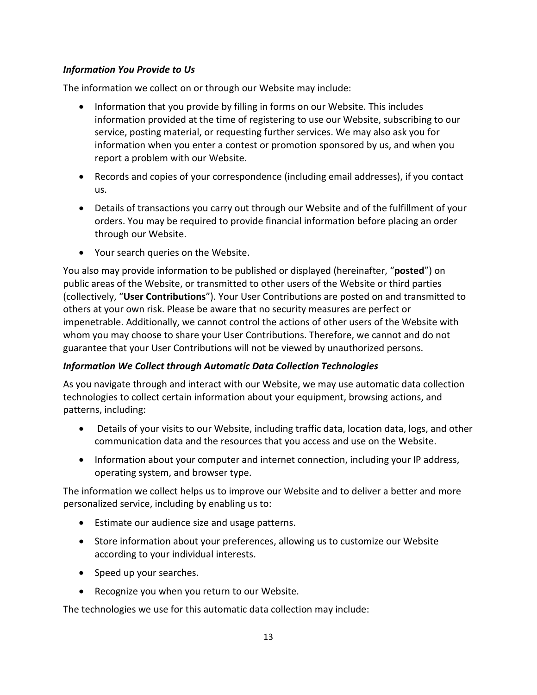#### *Information You Provide to Us*

The information we collect on or through our Website may include:

- Information that you provide by filling in forms on our Website. This includes information provided at the time of registering to use our Website, subscribing to our service, posting material, or requesting further services. We may also ask you for information when you enter a contest or promotion sponsored by us, and when you report a problem with our Website.
- Records and copies of your correspondence (including email addresses), if you contact us.
- Details of transactions you carry out through our Website and of the fulfillment of your orders. You may be required to provide financial information before placing an order through our Website.
- Your search queries on the Website.

You also may provide information to be published or displayed (hereinafter, "**posted**") on public areas of the Website, or transmitted to other users of the Website or third parties (collectively, "**User Contributions**"). Your User Contributions are posted on and transmitted to others at your own risk. Please be aware that no security measures are perfect or impenetrable. Additionally, we cannot control the actions of other users of the Website with whom you may choose to share your User Contributions. Therefore, we cannot and do not guarantee that your User Contributions will not be viewed by unauthorized persons.

# *Information We Collect through Automatic Data Collection Technologies*

As you navigate through and interact with our Website, we may use automatic data collection technologies to collect certain information about your equipment, browsing actions, and patterns, including:

- Details of your visits to our Website, including traffic data, location data, logs, and other communication data and the resources that you access and use on the Website.
- Information about your computer and internet connection, including your IP address, operating system, and browser type.

The information we collect helps us to improve our Website and to deliver a better and more personalized service, including by enabling us to:

- Estimate our audience size and usage patterns.
- Store information about your preferences, allowing us to customize our Website according to your individual interests.
- Speed up your searches.
- Recognize you when you return to our Website.

The technologies we use for this automatic data collection may include: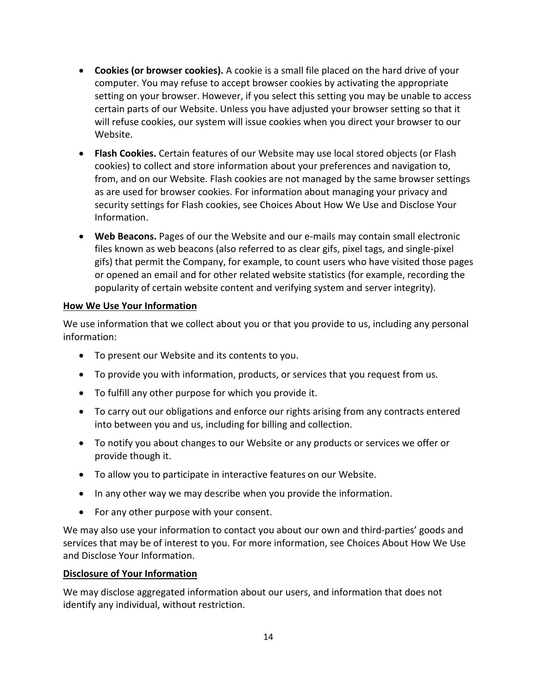- **Cookies (or browser cookies).** A cookie is a small file placed on the hard drive of your computer. You may refuse to accept browser cookies by activating the appropriate setting on your browser. However, if you select this setting you may be unable to access certain parts of our Website. Unless you have adjusted your browser setting so that it will refuse cookies, our system will issue cookies when you direct your browser to our Website.
- **Flash Cookies.** Certain features of our Website may use local stored objects (or Flash cookies) to collect and store information about your preferences and navigation to, from, and on our Website. Flash cookies are not managed by the same browser settings as are used for browser cookies. For information about managing your privacy and security settings for Flash cookies, see Choices About How We Use and Disclose Your Information.
- **Web Beacons.** Pages of our the Website and our e-mails may contain small electronic files known as web beacons (also referred to as clear gifs, pixel tags, and single-pixel gifs) that permit the Company, for example, to count users who have visited those pages or opened an email and for other related website statistics (for example, recording the popularity of certain website content and verifying system and server integrity).

#### **How We Use Your Information**

We use information that we collect about you or that you provide to us, including any personal information:

- To present our Website and its contents to you.
- To provide you with information, products, or services that you request from us.
- To fulfill any other purpose for which you provide it.
- To carry out our obligations and enforce our rights arising from any contracts entered into between you and us, including for billing and collection.
- To notify you about changes to our Website or any products or services we offer or provide though it.
- To allow you to participate in interactive features on our Website.
- In any other way we may describe when you provide the information.
- For any other purpose with your consent.

We may also use your information to contact you about our own and third-parties' goods and services that may be of interest to you. For more information, see Choices About How We Use and Disclose Your Information.

#### **Disclosure of Your Information**

We may disclose aggregated information about our users, and information that does not identify any individual, without restriction.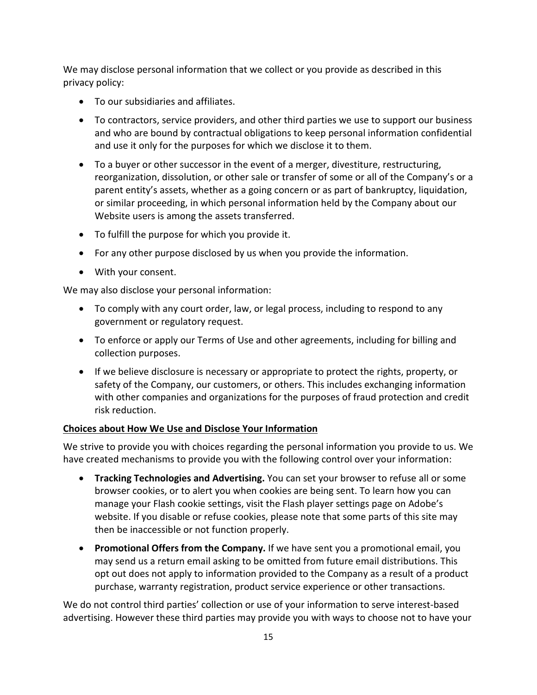We may disclose personal information that we collect or you provide as described in this privacy policy:

- To our subsidiaries and affiliates.
- To contractors, service providers, and other third parties we use to support our business and who are bound by contractual obligations to keep personal information confidential and use it only for the purposes for which we disclose it to them.
- To a buyer or other successor in the event of a merger, divestiture, restructuring, reorganization, dissolution, or other sale or transfer of some or all of the Company's or a parent entity's assets, whether as a going concern or as part of bankruptcy, liquidation, or similar proceeding, in which personal information held by the Company about our Website users is among the assets transferred.
- To fulfill the purpose for which you provide it.
- For any other purpose disclosed by us when you provide the information.
- With your consent.

We may also disclose your personal information:

- To comply with any court order, law, or legal process, including to respond to any government or regulatory request.
- To enforce or apply our Terms of Use and other agreements, including for billing and collection purposes.
- If we believe disclosure is necessary or appropriate to protect the rights, property, or safety of the Company, our customers, or others. This includes exchanging information with other companies and organizations for the purposes of fraud protection and credit risk reduction.

# **Choices about How We Use and Disclose Your Information**

We strive to provide you with choices regarding the personal information you provide to us. We have created mechanisms to provide you with the following control over your information:

- **Tracking Technologies and Advertising.** You can set your browser to refuse all or some browser cookies, or to alert you when cookies are being sent. To learn how you can manage your Flash cookie settings, visit the Flash player settings page on Adobe's website. If you disable or refuse cookies, please note that some parts of this site may then be inaccessible or not function properly.
- **Promotional Offers from the Company.** If we have sent you a promotional email, you may send us a return email asking to be omitted from future email distributions. This opt out does not apply to information provided to the Company as a result of a product purchase, warranty registration, product service experience or other transactions.

We do not control third parties' collection or use of your information to serve interest-based advertising. However these third parties may provide you with ways to choose not to have your